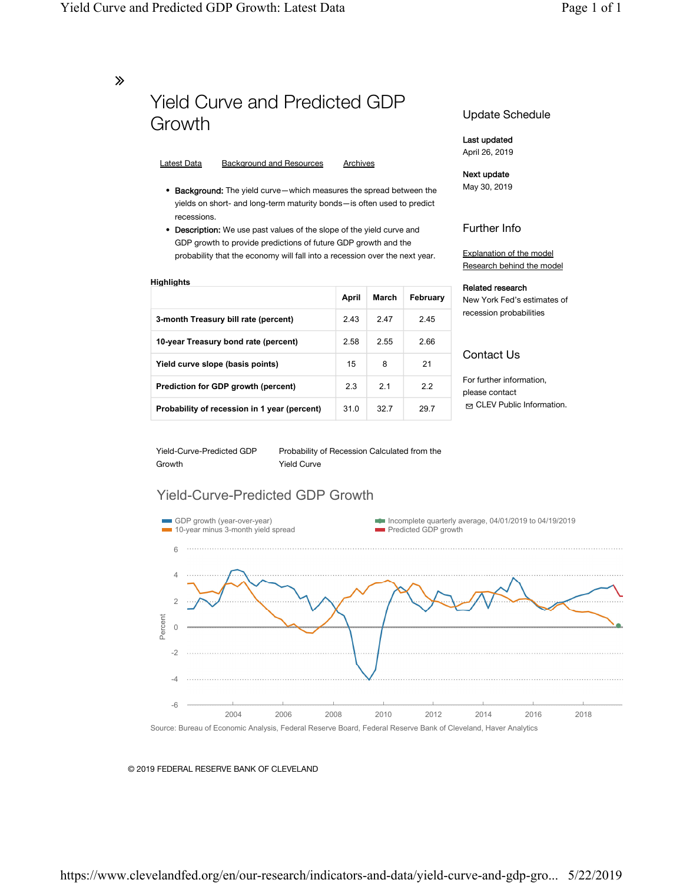∠

# Yield Curve and Predicted GDP Growth

## Latest Data Background and Resources Archives

- Background: The yield curve—which measures the spread between the yields on short- and long-term maturity bonds—is often used to predict recessions.
- Description: We use past values of the slope of the yield curve and GDP growth to provide predictions of future GDP growth and the probability that the economy will fall into a recession over the next year.

| Hiahliahts                                   |       |       |          |
|----------------------------------------------|-------|-------|----------|
|                                              | April | March | Februarv |
| 3-month Treasury bill rate (percent)         | 2.43  | 247   | 2.45     |
| 10-year Treasury bond rate (percent)         | 2.58  | 2.55  | 2.66     |
| Yield curve slope (basis points)             | 15    | 8     | 21       |
| Prediction for GDP growth (percent)          | 2.3   | 21    | 22       |
| Probability of recession in 1 year (percent) | 31.0  | 32.7  | 29.7     |

## Update Schedule

## Last updated April 26, 2019

## Next update

May 30, 2019

## Further Info

Explanation of the model Research behind the model

#### Related research

New York Fed's estimates of recession probabilities

## Contact Us

For further information, please contact ✉ CLEV Public Information.

Yield-Curve-Predicted GDP Growth

Probability of Recession Calculated from the Yield Curve

## Yield-Curve-Predicted GDP Growth



#### © 2019 FEDERAL RESERVE BANK OF CLEVELAND

## https://www.clevelandfed.org/en/our-research/indicators-and-data/yield-curve-and-gdp-gro... 5/22/2019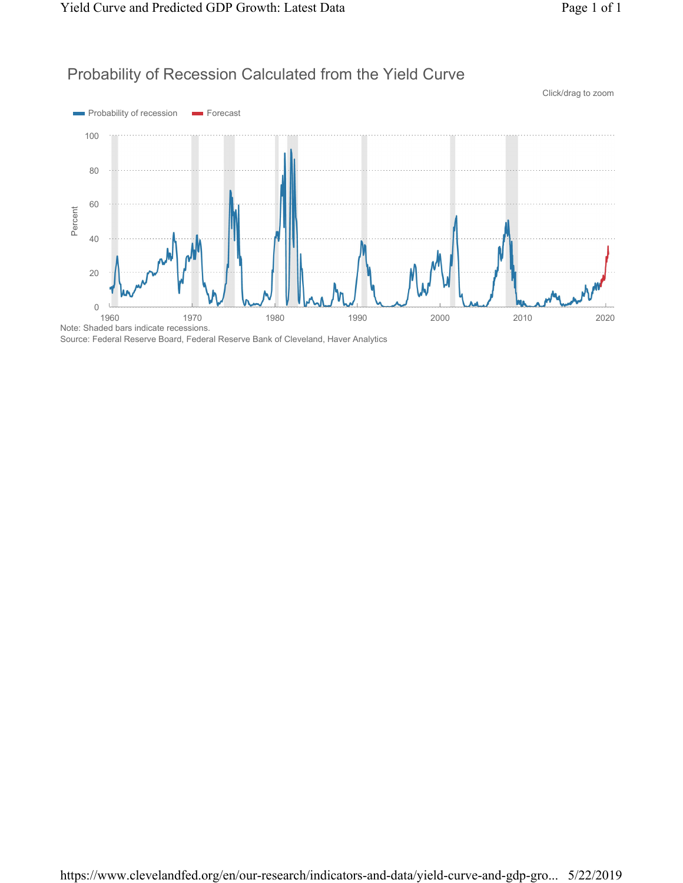## Probability of Recession Calculated from the Yield Curve



Source: Federal Reserve Board, Federal Reserve Bank of Cleveland, Haver Analytics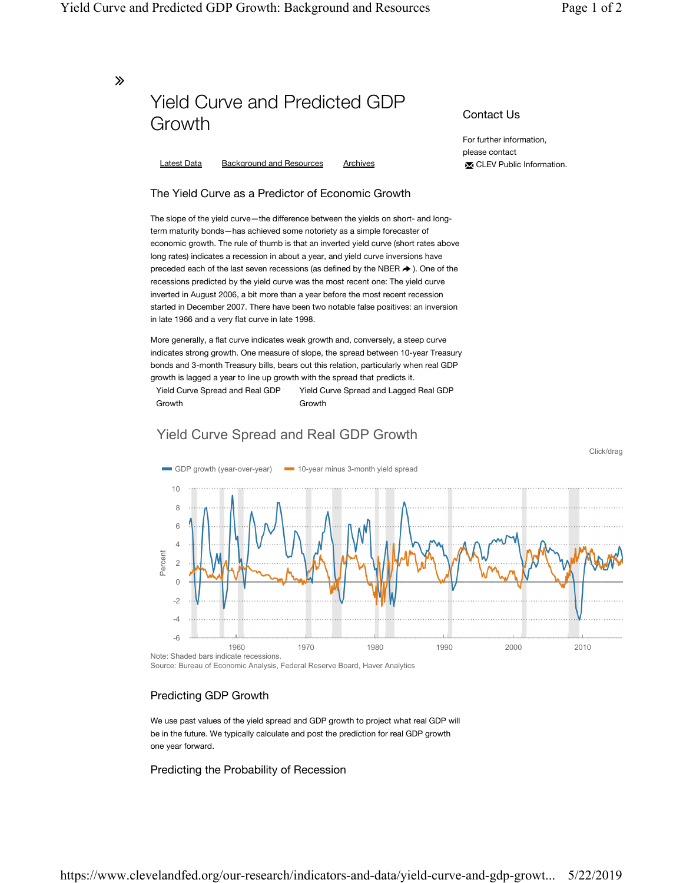Click/drag

∠

# Yield Curve and Predicted GDP Growth

Latest Data Background and Resources Archives

## The Yield Curve as a Predictor of Economic Growth

The slope of the yield curve—the difference between the yields on short- and longterm maturity bonds—has achieved some notoriety as a simple forecaster of economic growth. The rule of thumb is that an inverted yield curve (short rates above long rates) indicates a recession in about a year, and yield curve inversions have preceded each of the last seven recessions (as defined by the NBER  $\rightarrow$  ). One of the recessions predicted by the yield curve was the most recent one: The yield curve inverted in August 2006, a bit more than a year before the most recent recession started in December 2007. There have been two notable false positives: an inversion in late 1966 and a very flat curve in late 1998.

More generally, a flat curve indicates weak growth and, conversely, a steep curve indicates strong growth. One measure of slope, the spread between 10-year Treasury bonds and 3-month Treasury bills, bears out this relation, particularly when real GDP growth is lagged a year to line up growth with the spread that predicts it.

Yield Curve Spread and Real GDP Growth Yield Curve Spread and Lagged Real GDP Growth

## Yield Curve Spread and Real GDP Growth



Source: Bureau of Economic Analysis, Federal Reserve Board, Haver Analytics

## Predicting GDP Growth

We use past values of the yield spread and GDP growth to project what real GDP will be in the future. We typically calculate and post the prediction for real GDP growth one year forward.

Predicting the Probability of Recession

Contact Us

For further information, please contact ✉ CLEV Public Information.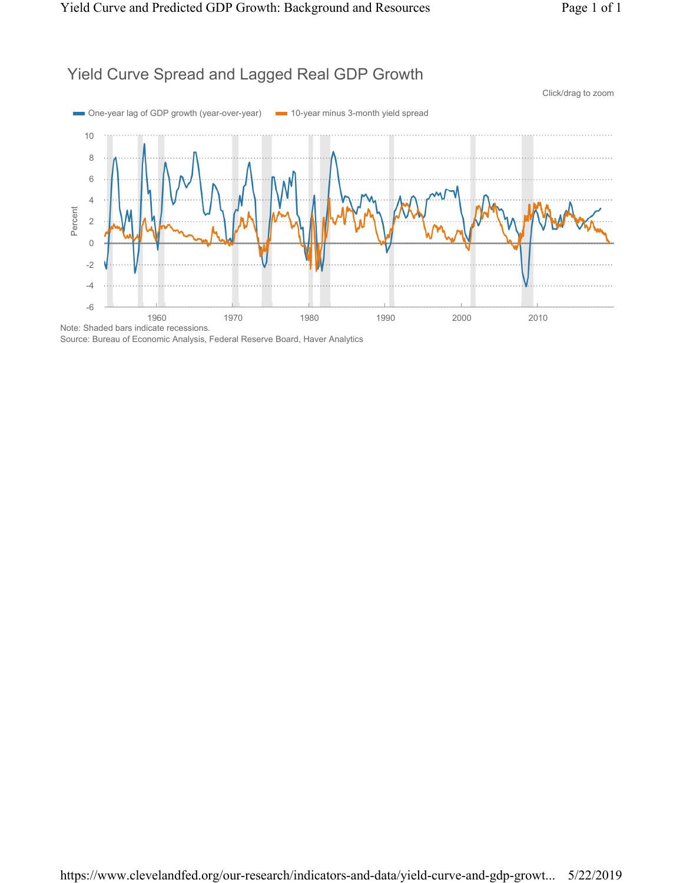## Yield Curve Spread and Lagged Real GDP Growth



Source: Bureau of Economic Analysis, Federal Reserve Board, Haver Analytics